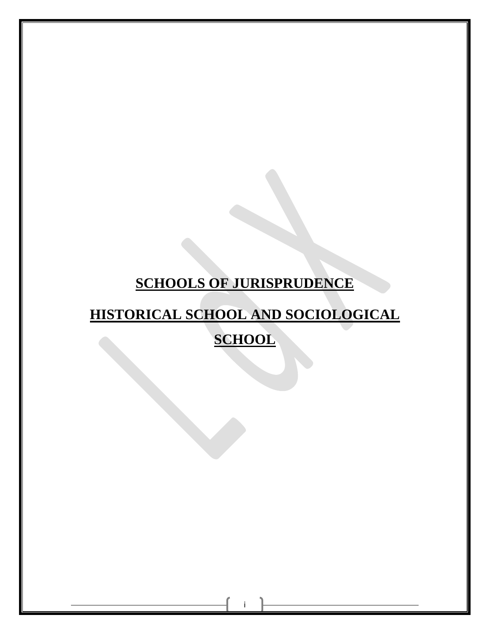## **SCHOOLS OF JURISPRUDENCE**

# **HISTORICAL SCHOOL AND SOCIOLOGICAL**

**SCHOOL**

i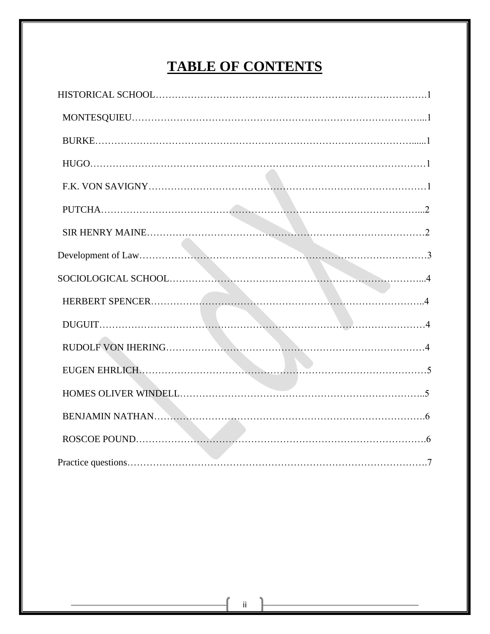## **TABLE OF CONTENTS**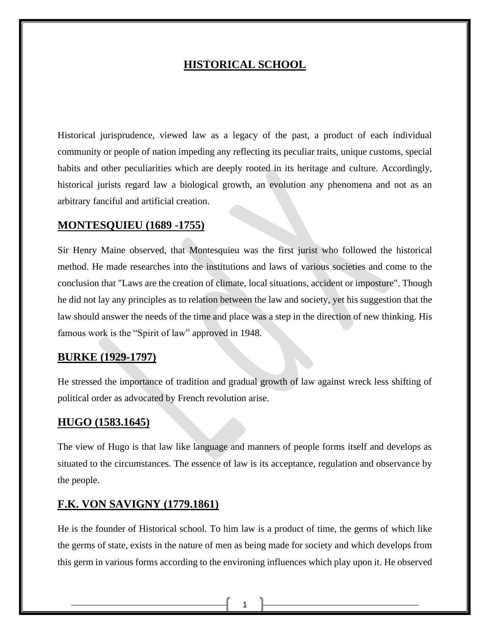## **HISTORICAL SCHOOL**

Historical jurisprudence, viewed law as a legacy of the past, a product of each individual community or people of nation impeding any reflecting its peculiar traits, unique customs, special habits and other peculiarities which are deeply rooted in its heritage and culture. Accordingly, historical jurists regard law a biological growth, an evolution any phenomena and not as an arbitrary fanciful and artificial creation.

## **MONTESQUIEU (1689 -1755)**

Sir Henry Maine observed, that Montesquieu was the first jurist who followed the historical method. He made researches into the institutions and laws of various societies and come to the conclusion that "Laws are the creation of climate, local situations, accident or imposture". Though he did not lay any principles as to relation between the law and society, yet his suggestion that the law should answer the needs of the time and place was a step in the direction of new thinking. His famous work is the "Spirit of law" approved in 1948.

## **BURKE (1929-1797)**

He stressed the importance of tradition and gradual growth of law against wreck less shifting of political order as advocated by French revolution arise.

## **HUGO (1583.1645)**

The view of Hugo is that law like language and manners of people forms itself and develops as situated to the circumstances. The essence of law is its acceptance, regulation and observance by the people.

## **F.K. VON SAVIGNY (1779.1861)**

He is the founder of Historical school. To him law is a product of time, the germs of which like the germs of state, exists in the nature of men as being made for society and which develops from this germ in various forms according to the environing influences which play upon it. He observed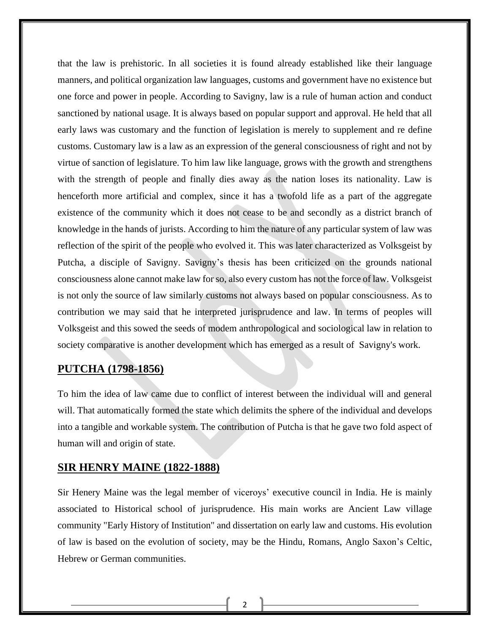that the law is prehistoric. In all societies it is found already established like their language manners, and political organization law languages, customs and government have no existence but one force and power in people. According to Savigny, law is a rule of human action and conduct sanctioned by national usage. It is always based on popular support and approval. He held that all early laws was customary and the function of legislation is merely to supplement and re define customs. Customary law is a law as an expression of the general consciousness of right and not by virtue of sanction of legislature. To him law like language, grows with the growth and strengthens with the strength of people and finally dies away as the nation loses its nationality. Law is henceforth more artificial and complex, since it has a twofold life as a part of the aggregate existence of the community which it does not cease to be and secondly as a district branch of knowledge in the hands of jurists. According to him the nature of any particular system of law was reflection of the spirit of the people who evolved it. This was later characterized as Volksgeist by Putcha, a disciple of Savigny. Savigny's thesis has been criticized on the grounds national consciousness alone cannot make law for so, also every custom has not the force of law. Volksgeist is not only the source of law similarly customs not always based on popular consciousness. As to contribution we may said that he interpreted jurisprudence and law. In terms of peoples will Volksgeist and this sowed the seeds of modem anthropological and sociological law in relation to society comparative is another development which has emerged as a result of Savigny's work.

## **PUTCHA (1798-1856)**

To him the idea of law came due to conflict of interest between the individual will and general will. That automatically formed the state which delimits the sphere of the individual and develops into a tangible and workable system. The contribution of Putcha is that he gave two fold aspect of human will and origin of state.

## **SIR HENRY MAINE (1822-1888)**

Sir Henery Maine was the legal member of viceroys' executive council in India. He is mainly associated to Historical school of jurisprudence. His main works are Ancient Law village community "Early History of Institution" and dissertation on early law and customs. His evolution of law is based on the evolution of society, may be the Hindu, Romans, Anglo Saxon's Celtic, Hebrew or German communities.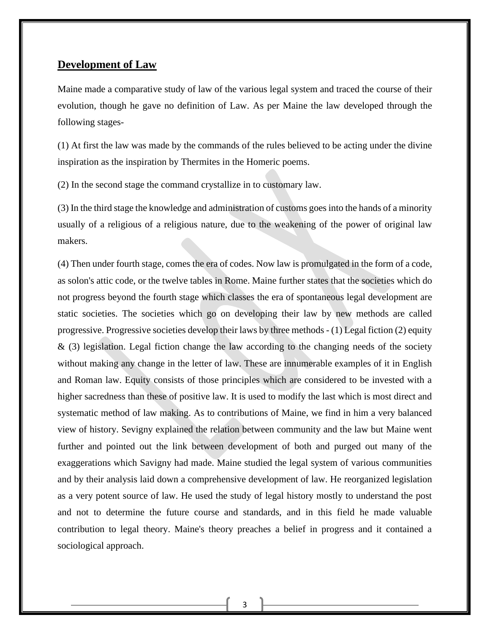## **Development of Law**

Maine made a comparative study of law of the various legal system and traced the course of their evolution, though he gave no definition of Law. As per Maine the law developed through the following stages-

(1) At first the law was made by the commands of the rules believed to be acting under the divine inspiration as the inspiration by Thermites in the Homeric poems.

(2) In the second stage the command crystallize in to customary law.

(3) In the third stage the knowledge and administration of customs goes into the hands of a minority usually of a religious of a religious nature, due to the weakening of the power of original law makers.

(4) Then under fourth stage, comes the era of codes. Now law is promulgated in the form of a code, as solon's attic code, or the twelve tables in Rome. Maine further states that the societies which do not progress beyond the fourth stage which classes the era of spontaneous legal development are static societies. The societies which go on developing their law by new methods are called progressive. Progressive societies develop their laws by three methods - (1) Legal fiction (2) equity  $\&$  (3) legislation. Legal fiction change the law according to the changing needs of the society without making any change in the letter of law. These are innumerable examples of it in English and Roman law. Equity consists of those principles which are considered to be invested with a higher sacredness than these of positive law. It is used to modify the last which is most direct and systematic method of law making. As to contributions of Maine, we find in him a very balanced view of history. Sevigny explained the relation between community and the law but Maine went further and pointed out the link between development of both and purged out many of the exaggerations which Savigny had made. Maine studied the legal system of various communities and by their analysis laid down a comprehensive development of law. He reorganized legislation as a very potent source of law. He used the study of legal history mostly to understand the post and not to determine the future course and standards, and in this field he made valuable contribution to legal theory. Maine's theory preaches a belief in progress and it contained a sociological approach.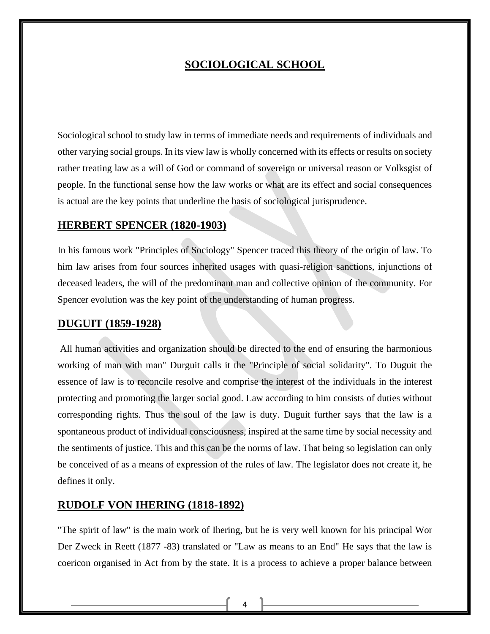## **SOCIOLOGICAL SCHOOL**

Sociological school to study law in terms of immediate needs and requirements of individuals and other varying social groups. In its view law is wholly concerned with its effects or results on society rather treating law as a will of God or command of sovereign or universal reason or Volksgist of people. In the functional sense how the law works or what are its effect and social consequences is actual are the key points that underline the basis of sociological jurisprudence.

#### **HERBERT SPENCER (1820-1903)**

In his famous work "Principles of Sociology" Spencer traced this theory of the origin of law. To him law arises from four sources inherited usages with quasi-religion sanctions, injunctions of deceased leaders, the will of the predominant man and collective opinion of the community. For Spencer evolution was the key point of the understanding of human progress.

#### **DUGUIT (1859-1928)**

All human activities and organization should be directed to the end of ensuring the harmonious working of man with man" Durguit calls it the "Principle of social solidarity". To Duguit the essence of law is to reconcile resolve and comprise the interest of the individuals in the interest protecting and promoting the larger social good. Law according to him consists of duties without corresponding rights. Thus the soul of the law is duty. Duguit further says that the law is a spontaneous product of individual consciousness, inspired at the same time by social necessity and the sentiments of justice. This and this can be the norms of law. That being so legislation can only be conceived of as a means of expression of the rules of law. The legislator does not create it, he defines it only.

#### **RUDOLF VON IHERING (1818-1892)**

"The spirit of law" is the main work of Ihering, but he is very well known for his principal Wor Der Zweck in Reett (1877 -83) translated or "Law as means to an End" He says that the law is coericon organised in Act from by the state. It is a process to achieve a proper balance between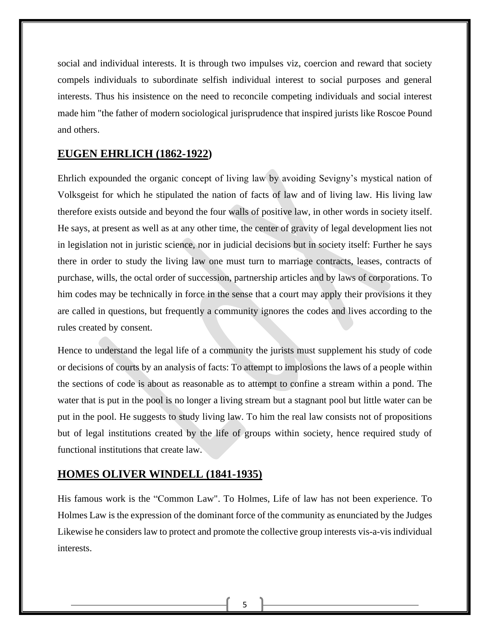social and individual interests. It is through two impulses viz, coercion and reward that society compels individuals to subordinate selfish individual interest to social purposes and general interests. Thus his insistence on the need to reconcile competing individuals and social interest made him "the father of modern sociological jurisprudence that inspired jurists like Roscoe Pound and others.

#### **EUGEN EHRLICH (1862-1922)**

Ehrlich expounded the organic concept of living law by avoiding Sevigny's mystical nation of Volksgeist for which he stipulated the nation of facts of law and of living law. His living law therefore exists outside and beyond the four walls of positive law, in other words in society itself. He says, at present as well as at any other time, the center of gravity of legal development lies not in legislation not in juristic science, nor in judicial decisions but in society itself: Further he says there in order to study the living law one must turn to marriage contracts, leases, contracts of purchase, wills, the octal order of succession, partnership articles and by laws of corporations. To him codes may be technically in force in the sense that a court may apply their provisions it they are called in questions, but frequently a community ignores the codes and lives according to the rules created by consent.

Hence to understand the legal life of a community the jurists must supplement his study of code or decisions of courts by an analysis of facts: To attempt to implosions the laws of a people within the sections of code is about as reasonable as to attempt to confine a stream within a pond. The water that is put in the pool is no longer a living stream but a stagnant pool but little water can be put in the pool. He suggests to study living law. To him the real law consists not of propositions but of legal institutions created by the life of groups within society, hence required study of functional institutions that create law.

#### **HOMES OLIVER WINDELL (1841-1935)**

His famous work is the "Common Law". To Holmes, Life of law has not been experience. To Holmes Law is the expression of the dominant force of the community as enunciated by the Judges Likewise he considers law to protect and promote the collective group interests vis-a-vis individual interests.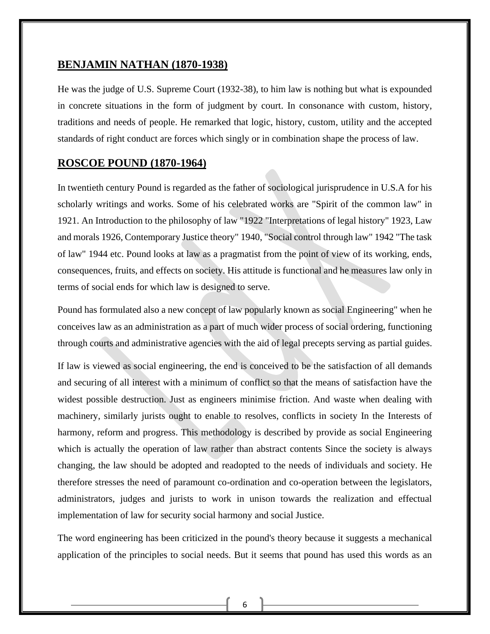## **BENJAMIN NATHAN (1870-1938)**

He was the judge of U.S. Supreme Court (1932-38), to him law is nothing but what is expounded in concrete situations in the form of judgment by court. In consonance with custom, history, traditions and needs of people. He remarked that logic, history, custom, utility and the accepted standards of right conduct are forces which singly or in combination shape the process of law.

## **ROSCOE POUND (1870-1964)**

In twentieth century Pound is regarded as the father of sociological jurisprudence in U.S.A for his scholarly writings and works. Some of his celebrated works are "Spirit of the common law" in 1921. An Introduction to the philosophy of law "1922 "Interpretations of legal history" 1923, Law and morals 1926, Contemporary Justice theory" 1940, "Social control through law" 1942 "The task of law" 1944 etc. Pound looks at law as a pragmatist from the point of view of its working, ends, consequences, fruits, and effects on society. His attitude is functional and he measures law only in terms of social ends for which law is designed to serve.

Pound has formulated also a new concept of law popularly known as social Engineering" when he conceives law as an administration as a part of much wider process of social ordering, functioning through courts and administrative agencies with the aid of legal precepts serving as partial guides.

If law is viewed as social engineering, the end is conceived to be the satisfaction of all demands and securing of all interest with a minimum of conflict so that the means of satisfaction have the widest possible destruction. Just as engineers minimise friction. And waste when dealing with machinery, similarly jurists ought to enable to resolves, conflicts in society In the Interests of harmony, reform and progress. This methodology is described by provide as social Engineering which is actually the operation of law rather than abstract contents Since the society is always changing, the law should be adopted and readopted to the needs of individuals and society. He therefore stresses the need of paramount co-ordination and co-operation between the legislators, administrators, judges and jurists to work in unison towards the realization and effectual implementation of law for security social harmony and social Justice.

The word engineering has been criticized in the pound's theory because it suggests a mechanical application of the principles to social needs. But it seems that pound has used this words as an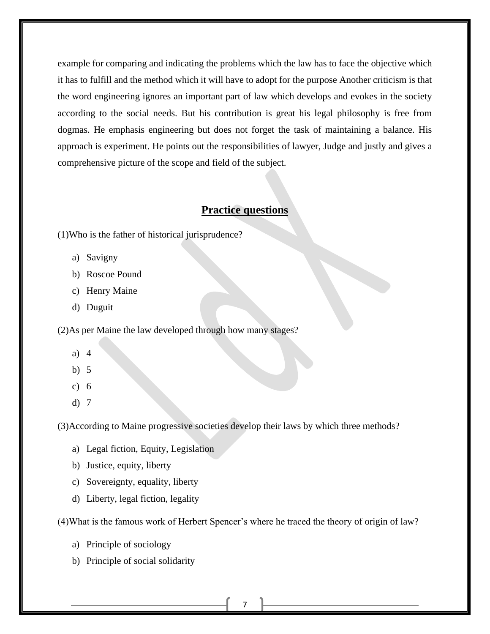example for comparing and indicating the problems which the law has to face the objective which it has to fulfill and the method which it will have to adopt for the purpose Another criticism is that the word engineering ignores an important part of law which develops and evokes in the society according to the social needs. But his contribution is great his legal philosophy is free from dogmas. He emphasis engineering but does not forget the task of maintaining a balance. His approach is experiment. He points out the responsibilities of lawyer, Judge and justly and gives a comprehensive picture of the scope and field of the subject.

## **Practice questions**

(1)Who is the father of historical jurisprudence?

- a) Savigny
- b) Roscoe Pound
- c) Henry Maine
- d) Duguit

(2)As per Maine the law developed through how many stages?

- a) 4
- b) 5
- c) 6
- d) 7

(3)According to Maine progressive societies develop their laws by which three methods?

- a) Legal fiction, Equity, Legislation
- b) Justice, equity, liberty
- c) Sovereignty, equality, liberty
- d) Liberty, legal fiction, legality

(4)What is the famous work of Herbert Spencer's where he traced the theory of origin of law?

- a) Principle of sociology
- b) Principle of social solidarity